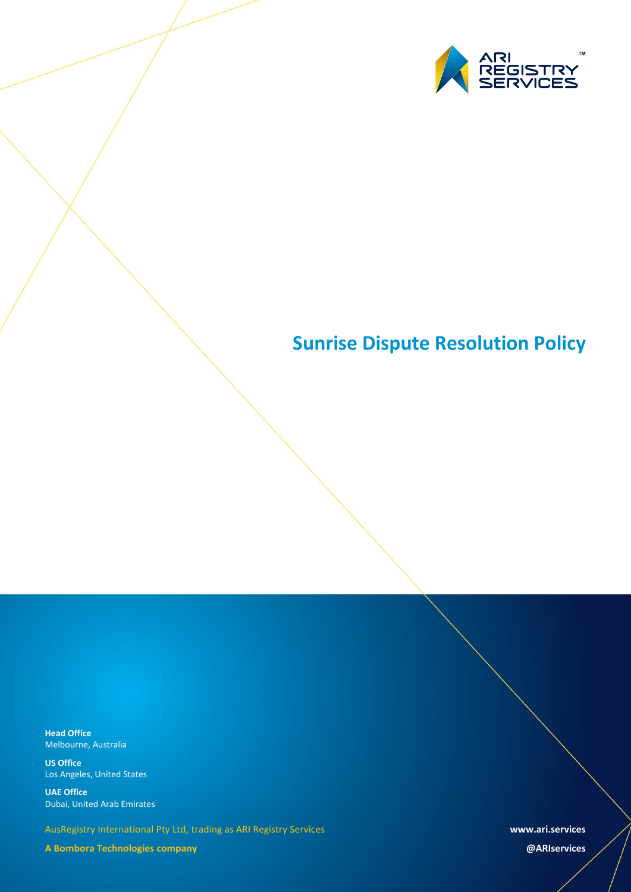

# **Sunrise Dispute Resolution Policy**

**Head Office** Melbourne, Australia

**US Office** Los Angeles, United States

**UAE Office** Dubai, United Arab Emirates

AusRegistry International Pty Ltd, trading as ARI Registry Services

**A Bombora Technologies company**

**www.ari.services**

**@ARIservices**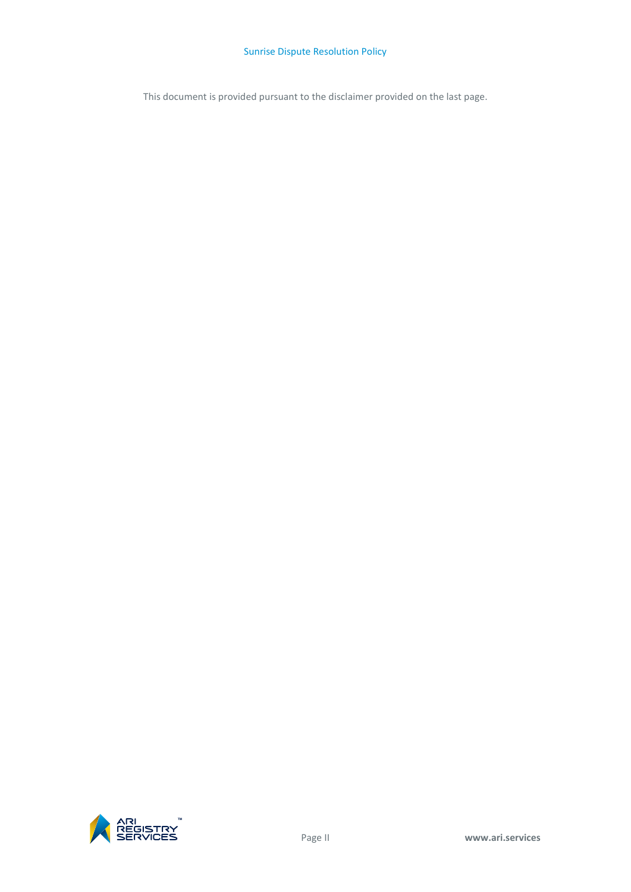This document is provided pursuant to the disclaimer provided on the last page.

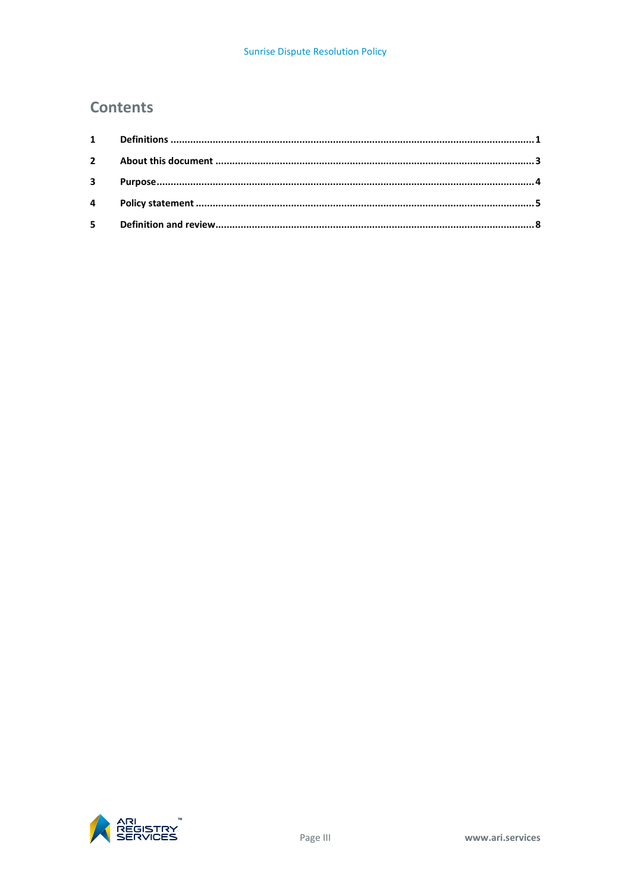## **Contents**

| $3^{\circ}$ |  |
|-------------|--|
|             |  |
|             |  |

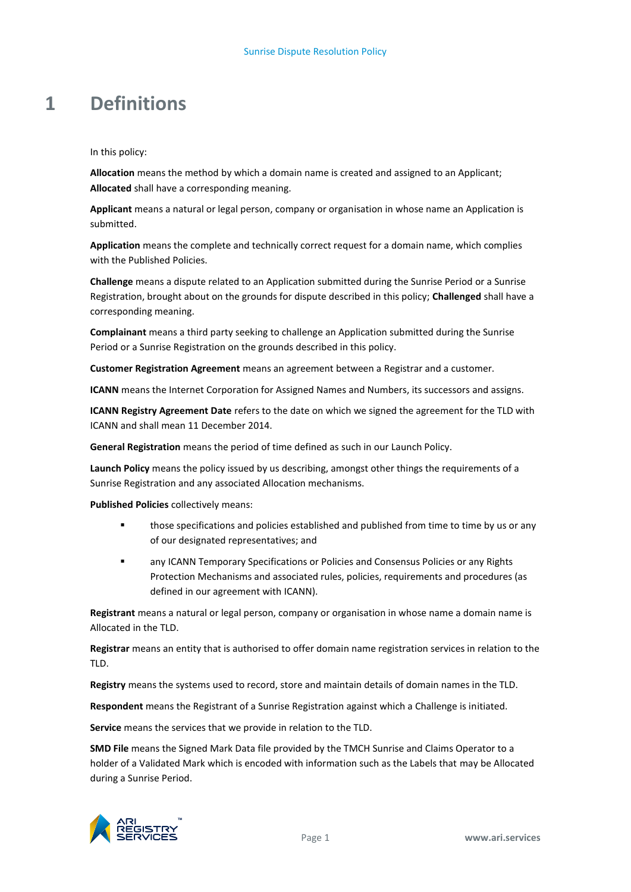## <span id="page-4-0"></span>**1 Definitions**

In this policy:

**Allocation** means the method by which a domain name is created and assigned to an Applicant; **Allocated** shall have a corresponding meaning.

**Applicant** means a natural or legal person, company or organisation in whose name an Application is submitted.

**Application** means the complete and technically correct request for a domain name, which complies with the Published Policies.

**Challenge** means a dispute related to an Application submitted during the Sunrise Period or a Sunrise Registration, brought about on the grounds for dispute described in this policy; **Challenged** shall have a corresponding meaning.

**Complainant** means a third party seeking to challenge an Application submitted during the Sunrise Period or a Sunrise Registration on the grounds described in this policy.

**Customer Registration Agreement** means an agreement between a Registrar and a customer.

**ICANN** means the Internet Corporation for Assigned Names and Numbers, its successors and assigns.

**ICANN Registry Agreement Date** refers to the date on which we signed the agreement for the TLD with ICANN and shall mean 11 December 2014.

**General Registration** means the period of time defined as such in our Launch Policy.

**Launch Policy** means the policy issued by us describing, amongst other things the requirements of a Sunrise Registration and any associated Allocation mechanisms.

**Published Policies** collectively means:

- **those specifications and policies established and published from time to time by us or any** of our designated representatives; and
- any ICANN Temporary Specifications or Policies and Consensus Policies or any Rights Protection Mechanisms and associated rules, policies, requirements and procedures (as defined in our agreement with ICANN).

**Registrant** means a natural or legal person, company or organisation in whose name a domain name is Allocated in the TLD.

**Registrar** means an entity that is authorised to offer domain name registration services in relation to the TLD.

**Registry** means the systems used to record, store and maintain details of domain names in the TLD.

**Respondent** means the Registrant of a Sunrise Registration against which a Challenge is initiated.

**Service** means the services that we provide in relation to the TLD.

**SMD File** means the Signed Mark Data file provided by the TMCH Sunrise and Claims Operator to a holder of a Validated Mark which is encoded with information such as the Labels that may be Allocated during a Sunrise Period.

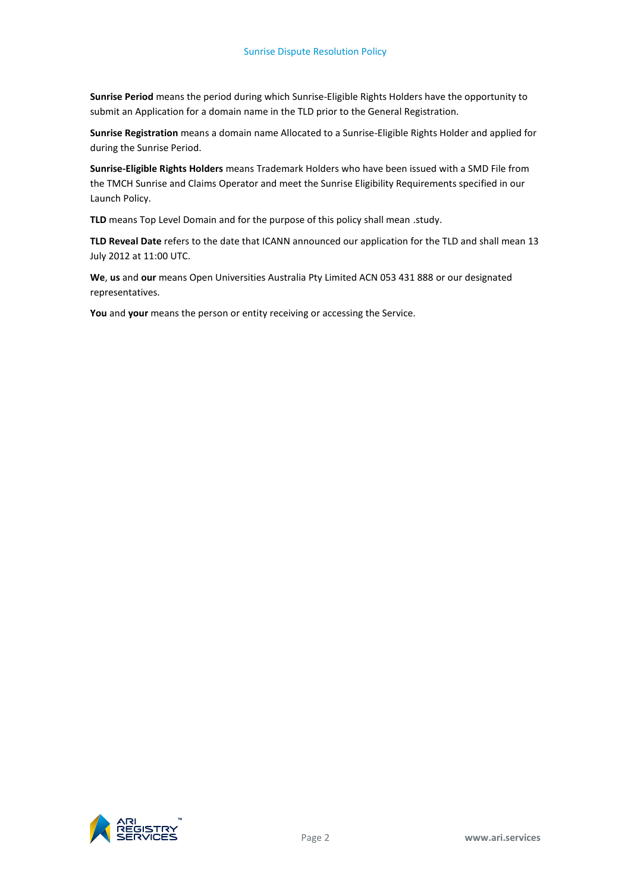**Sunrise Period** means the period during which Sunrise-Eligible Rights Holders have the opportunity to submit an Application for a domain name in the TLD prior to the General Registration.

**Sunrise Registration** means a domain name Allocated to a Sunrise-Eligible Rights Holder and applied for during the Sunrise Period.

**Sunrise-Eligible Rights Holders** means Trademark Holders who have been issued with a SMD File from the TMCH Sunrise and Claims Operator and meet the Sunrise Eligibility Requirements specified in our Launch Policy.

TLD means Top Level Domain and for the purpose of this policy shall mean .study.

**TLD Reveal Date** refers to the date that ICANN announced our application for the TLD and shall mean 13 July 2012 at 11:00 UTC.

**We**, **us** and **our** means Open Universities Australia Pty Limited ACN 053 431 888 or our designated representatives.

**You** and **your** means the person or entity receiving or accessing the Service.

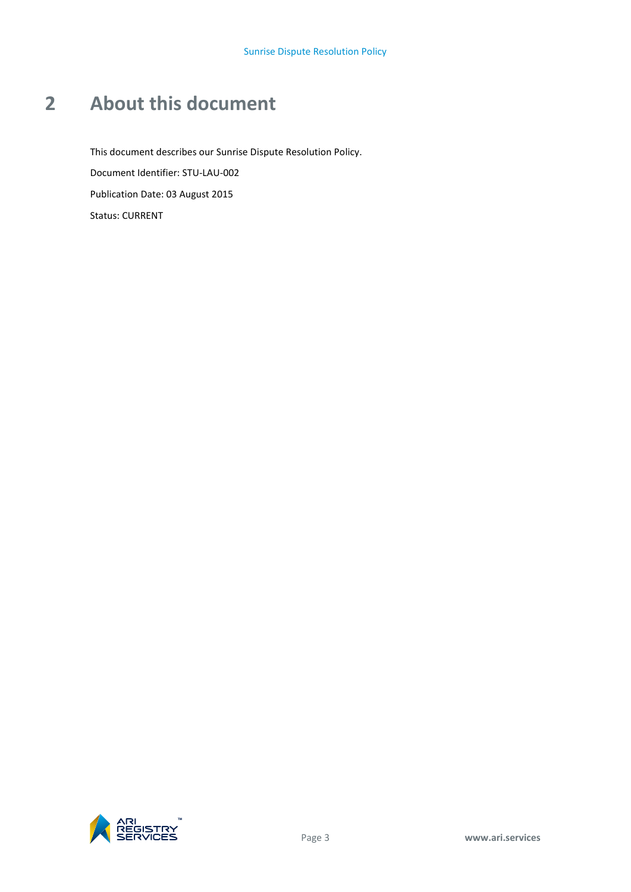# <span id="page-6-0"></span>**2 About this document**

This document describes our Sunrise Dispute Resolution Policy. Document Identifier: STU-LAU-002 Publication Date: 03 August 2015 Status: CURRENT

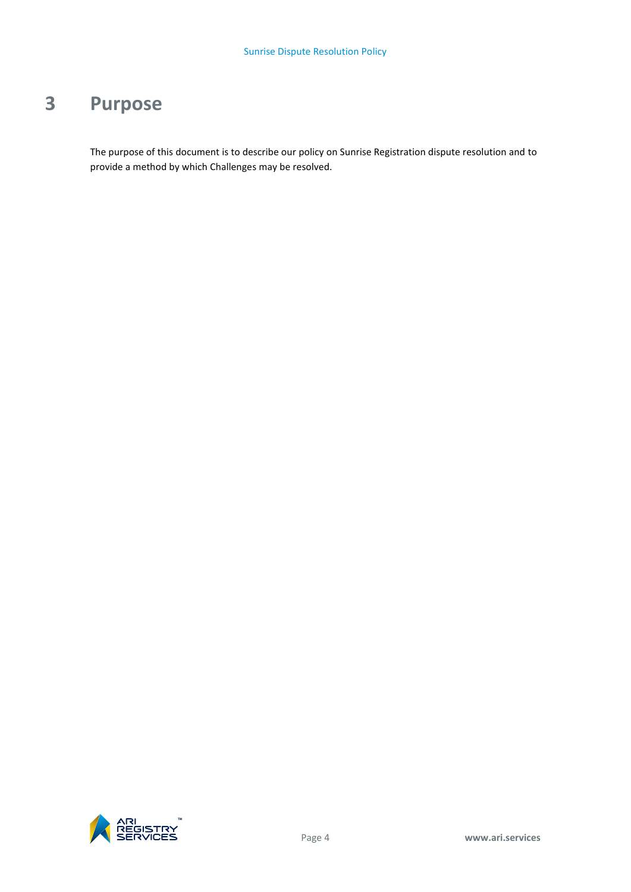# <span id="page-7-0"></span>**3 Purpose**

The purpose of this document is to describe our policy on Sunrise Registration dispute resolution and to provide a method by which Challenges may be resolved.

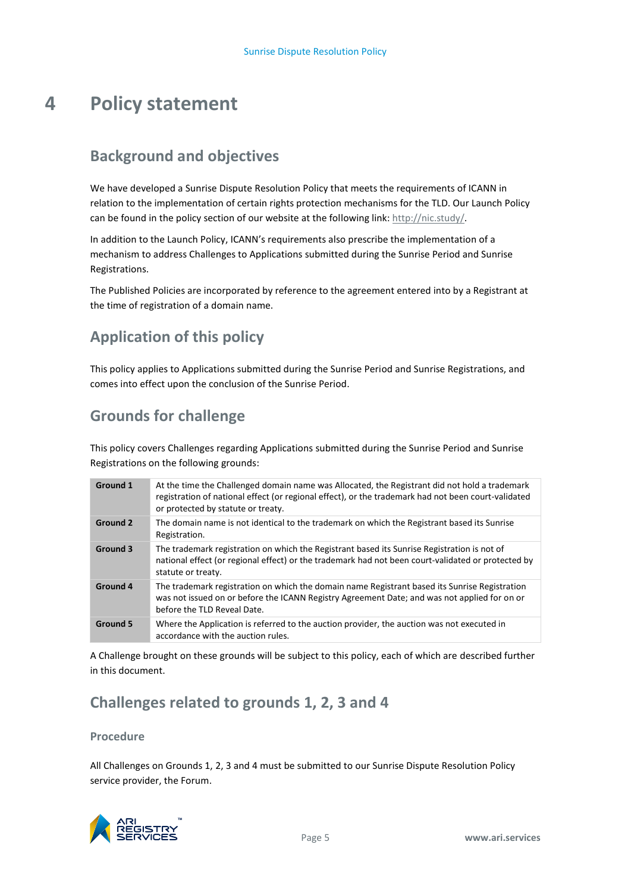# <span id="page-8-0"></span>**4 Policy statement**

## **Background and objectives**

We have developed a Sunrise Dispute Resolution Policy that meets the requirements of ICANN in relation to the implementation of certain rights protection mechanisms for the TLD. Our Launch Policy can be found in the policy section of our website at the following link: [http://nic.study/.](http://nic.study/)

In addition to the Launch Policy, ICANN's requirements also prescribe the implementation of a mechanism to address Challenges to Applications submitted during the Sunrise Period and Sunrise Registrations.

The Published Policies are incorporated by reference to the agreement entered into by a Registrant at the time of registration of a domain name.

## **Application of this policy**

This policy applies to Applications submitted during the Sunrise Period and Sunrise Registrations, and comes into effect upon the conclusion of the Sunrise Period.

## **Grounds for challenge**

This policy covers Challenges regarding Applications submitted during the Sunrise Period and Sunrise Registrations on the following grounds:

| Ground 1        | At the time the Challenged domain name was Allocated, the Registrant did not hold a trademark<br>registration of national effect (or regional effect), or the trademark had not been court-validated<br>or protected by statute or treaty. |
|-----------------|--------------------------------------------------------------------------------------------------------------------------------------------------------------------------------------------------------------------------------------------|
| <b>Ground 2</b> | The domain name is not identical to the trademark on which the Registrant based its Sunrise<br>Registration.                                                                                                                               |
| <b>Ground 3</b> | The trademark registration on which the Registrant based its Sunrise Registration is not of<br>national effect (or regional effect) or the trademark had not been court-validated or protected by<br>statute or treaty.                    |
| <b>Ground 4</b> | The trademark registration on which the domain name Registrant based its Sunrise Registration<br>was not issued on or before the ICANN Registry Agreement Date; and was not applied for on or<br>before the TLD Reveal Date.               |
| <b>Ground 5</b> | Where the Application is referred to the auction provider, the auction was not executed in<br>accordance with the auction rules.                                                                                                           |

A Challenge brought on these grounds will be subject to this policy, each of which are described further in this document.

## **Challenges related to grounds 1, 2, 3 and 4**

#### **Procedure**

All Challenges on Grounds 1, 2, 3 and 4 must be submitted to our Sunrise Dispute Resolution Policy service provider, the Forum.

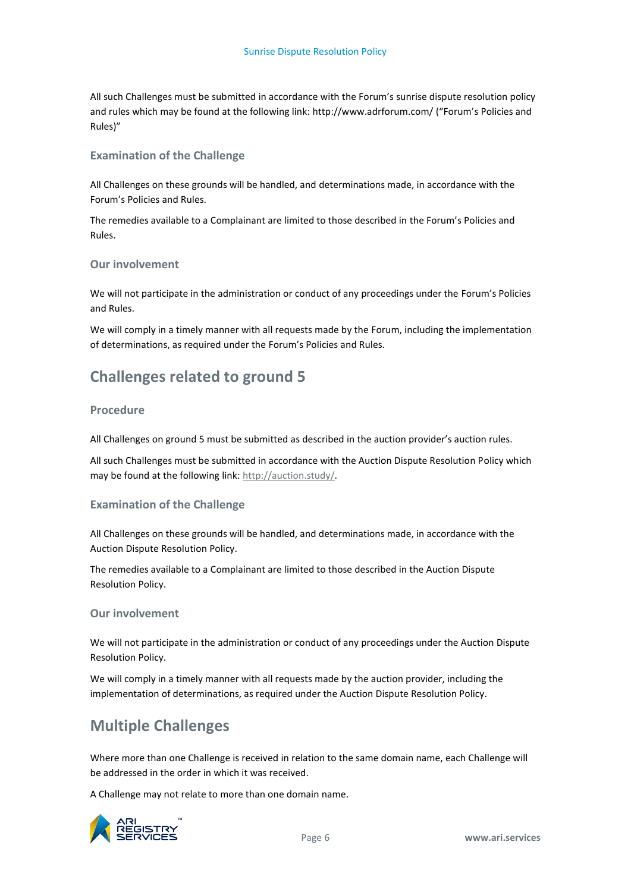All such Challenges must be submitted in accordance with the Forum's sunrise dispute resolution policy and rules which may be found at the following link: http://www.adrforum.com/ ("Forum's Policies and Rules)"

#### **Examination of the Challenge**

All Challenges on these grounds will be handled, and determinations made, in accordance with the Forum's Policies and Rules.

The remedies available to a Complainant are limited to those described in the Forum's Policies and Rules.

#### **Our involvement**

We will not participate in the administration or conduct of any proceedings under the Forum's Policies and Rules.

We will comply in a timely manner with all requests made by the Forum, including the implementation of determinations, as required under the Forum's Policies and Rules.

## **Challenges related to ground 5**

#### **Procedure**

All Challenges on ground 5 must be submitted as described in the auction provider's auction rules.

All such Challenges must be submitted in accordance with the Auction Dispute Resolution Policy which may be found at the following link: [http://auction.study/.](http://auction.study/)

#### **Examination of the Challenge**

All Challenges on these grounds will be handled, and determinations made, in accordance with the Auction Dispute Resolution Policy.

The remedies available to a Complainant are limited to those described in the Auction Dispute Resolution Policy.

#### **Our involvement**

We will not participate in the administration or conduct of any proceedings under the Auction Dispute Resolution Policy.

We will comply in a timely manner with all requests made by the auction provider, including the implementation of determinations, as required under the Auction Dispute Resolution Policy.

### **Multiple Challenges**

Where more than one Challenge is received in relation to the same domain name, each Challenge will be addressed in the order in which it was received.

A Challenge may not relate to more than one domain name.

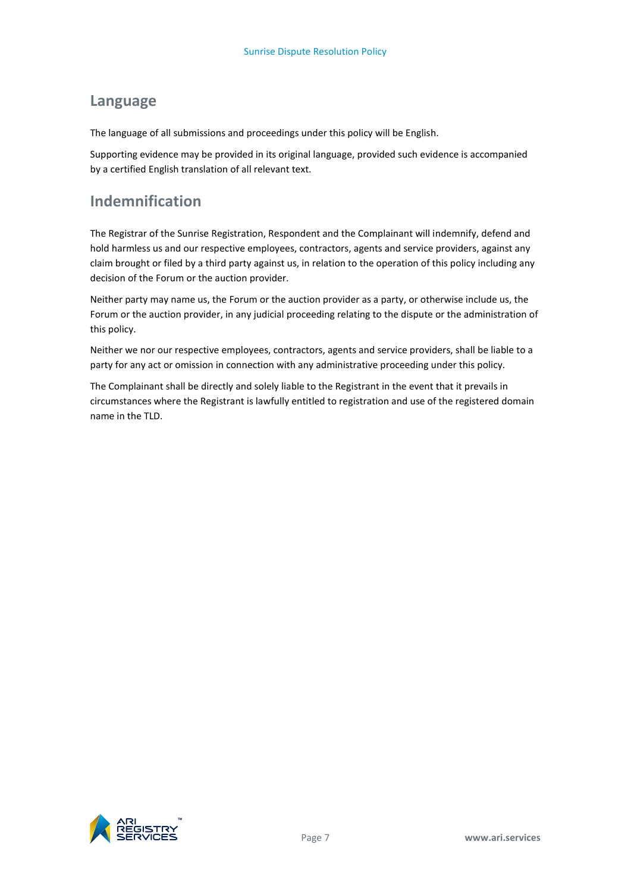## **Language**

The language of all submissions and proceedings under this policy will be English.

Supporting evidence may be provided in its original language, provided such evidence is accompanied by a certified English translation of all relevant text.

## **Indemnification**

The Registrar of the Sunrise Registration, Respondent and the Complainant will indemnify, defend and hold harmless us and our respective employees, contractors, agents and service providers, against any claim brought or filed by a third party against us, in relation to the operation of this policy including any decision of the Forum or the auction provider.

Neither party may name us, the Forum or the auction provider as a party, or otherwise include us, the Forum or the auction provider, in any judicial proceeding relating to the dispute or the administration of this policy.

Neither we nor our respective employees, contractors, agents and service providers, shall be liable to a party for any act or omission in connection with any administrative proceeding under this policy.

The Complainant shall be directly and solely liable to the Registrant in the event that it prevails in circumstances where the Registrant is lawfully entitled to registration and use of the registered domain name in the TLD.

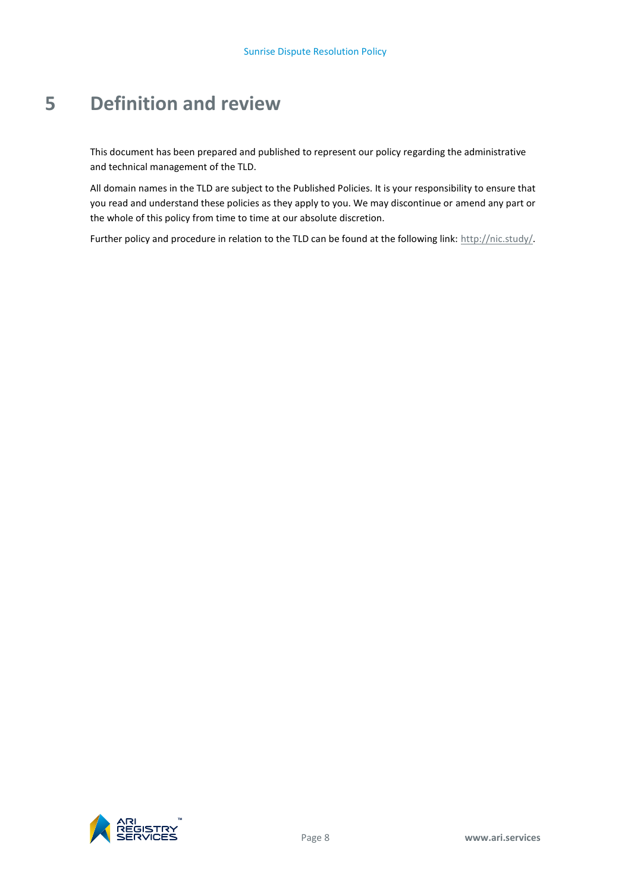# <span id="page-11-0"></span>**5 Definition and review**

This document has been prepared and published to represent our policy regarding the administrative and technical management of the TLD.

All domain names in the TLD are subject to the Published Policies. It is your responsibility to ensure that you read and understand these policies as they apply to you. We may discontinue or amend any part or the whole of this policy from time to time at our absolute discretion.

Further policy and procedure in relation to the TLD can be found at the following link[: http://nic.study/.](http://nic.study/)

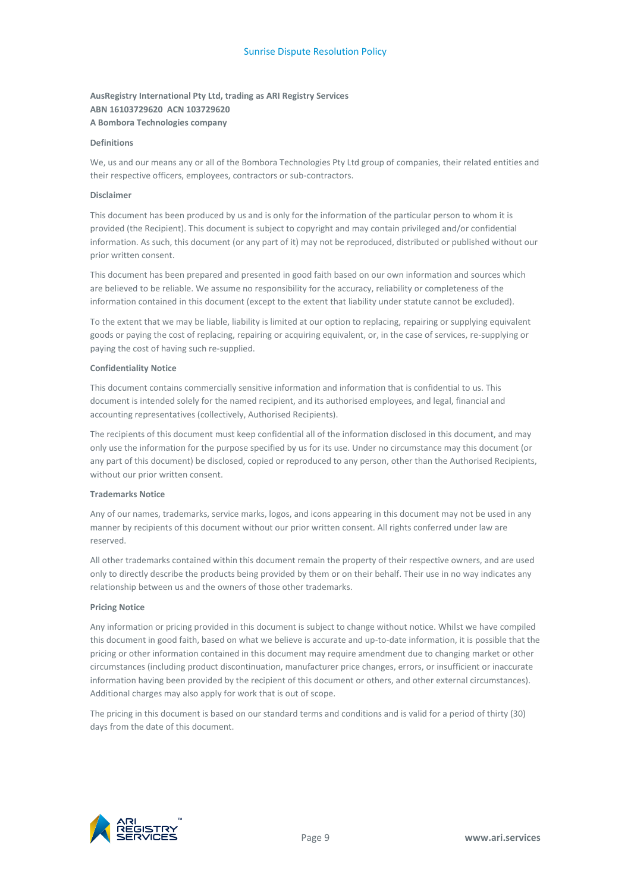#### **AusRegistry International Pty Ltd, trading as ARI Registry Services ABN 16103729620 ACN 103729620 A Bombora Technologies company**

#### **Definitions**

We, us and our means any or all of the Bombora Technologies Pty Ltd group of companies, their related entities and their respective officers, employees, contractors or sub-contractors.

#### **Disclaimer**

This document has been produced by us and is only for the information of the particular person to whom it is provided (the Recipient). This document is subject to copyright and may contain privileged and/or confidential information. As such, this document (or any part of it) may not be reproduced, distributed or published without our prior written consent.

This document has been prepared and presented in good faith based on our own information and sources which are believed to be reliable. We assume no responsibility for the accuracy, reliability or completeness of the information contained in this document (except to the extent that liability under statute cannot be excluded).

To the extent that we may be liable, liability is limited at our option to replacing, repairing or supplying equivalent goods or paying the cost of replacing, repairing or acquiring equivalent, or, in the case of services, re-supplying or paying the cost of having such re-supplied.

#### **Confidentiality Notice**

This document contains commercially sensitive information and information that is confidential to us. This document is intended solely for the named recipient, and its authorised employees, and legal, financial and accounting representatives (collectively, Authorised Recipients).

The recipients of this document must keep confidential all of the information disclosed in this document, and may only use the information for the purpose specified by us for its use. Under no circumstance may this document (or any part of this document) be disclosed, copied or reproduced to any person, other than the Authorised Recipients, without our prior written consent.

#### **Trademarks Notice**

Any of our names, trademarks, service marks, logos, and icons appearing in this document may not be used in any manner by recipients of this document without our prior written consent. All rights conferred under law are reserved.

All other trademarks contained within this document remain the property of their respective owners, and are used only to directly describe the products being provided by them or on their behalf. Their use in no way indicates any relationship between us and the owners of those other trademarks.

#### **Pricing Notice**

Any information or pricing provided in this document is subject to change without notice. Whilst we have compiled this document in good faith, based on what we believe is accurate and up-to-date information, it is possible that the pricing or other information contained in this document may require amendment due to changing market or other circumstances (including product discontinuation, manufacturer price changes, errors, or insufficient or inaccurate information having been provided by the recipient of this document or others, and other external circumstances). Additional charges may also apply for work that is out of scope.

The pricing in this document is based on our standard terms and conditions and is valid for a period of thirty (30) days from the date of this document.